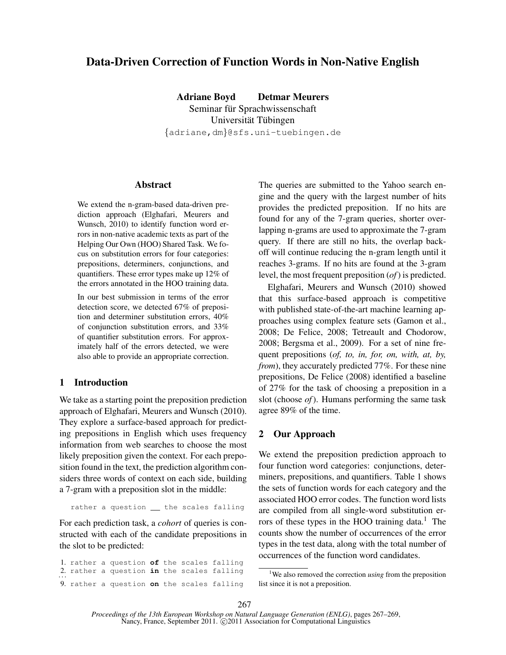# Data-Driven Correction of Function Words in Non-Native English

Adriane Boyd Detmar Meurers Seminar für Sprachwissenschaft Universität Tübingen {adriane,dm}@sfs.uni-tuebingen.de

### **Abstract**

We extend the n-gram-based data-driven prediction approach (Elghafari, Meurers and Wunsch, 2010) to identify function word errors in non-native academic texts as part of the Helping Our Own (HOO) Shared Task. We focus on substitution errors for four categories: prepositions, determiners, conjunctions, and quantifiers. These error types make up 12% of the errors annotated in the HOO training data.

In our best submission in terms of the error detection score, we detected 67% of preposition and determiner substitution errors, 40% of conjunction substitution errors, and 33% of quantifier substitution errors. For approximately half of the errors detected, we were also able to provide an appropriate correction.

## 1 Introduction

We take as a starting point the preposition prediction approach of Elghafari, Meurers and Wunsch (2010). They explore a surface-based approach for predicting prepositions in English which uses frequency information from web searches to choose the most likely preposition given the context. For each preposition found in the text, the prediction algorithm considers three words of context on each side, building a 7-gram with a preposition slot in the middle:

rather a question \_\_ the scales falling

For each prediction task, a *cohort* of queries is constructed with each of the candidate prepositions in the slot to be predicted:

1. rather a question **of** the scales falling 2. rather a question in the scales falling 9. rather a question **on** the scales falling The queries are submitted to the Yahoo search engine and the query with the largest number of hits provides the predicted preposition. If no hits are found for any of the 7-gram queries, shorter overlapping n-grams are used to approximate the 7-gram query. If there are still no hits, the overlap backoff will continue reducing the n-gram length until it reaches 3-grams. If no hits are found at the 3-gram level, the most frequent preposition (*of*) is predicted.

Elghafari, Meurers and Wunsch (2010) showed that this surface-based approach is competitive with published state-of-the-art machine learning approaches using complex feature sets (Gamon et al., 2008; De Felice, 2008; Tetreault and Chodorow, 2008; Bergsma et al., 2009). For a set of nine frequent prepositions (*of, to, in, for, on, with, at, by, from*), they accurately predicted 77%. For these nine prepositions, De Felice (2008) identified a baseline of 27% for the task of choosing a preposition in a slot (choose *of*). Humans performing the same task agree 89% of the time.

#### 2 Our Approach

We extend the preposition prediction approach to four function word categories: conjunctions, determiners, prepositions, and quantifiers. Table 1 shows the sets of function words for each category and the associated HOO error codes. The function word lists are compiled from all single-word substitution errors of these types in the HOO training data.<sup>1</sup> The counts show the number of occurrences of the error types in the test data, along with the total number of occurrences of the function word candidates.

<sup>&</sup>lt;sup>1</sup>We also removed the correction *using* from the preposition list since it is not a preposition.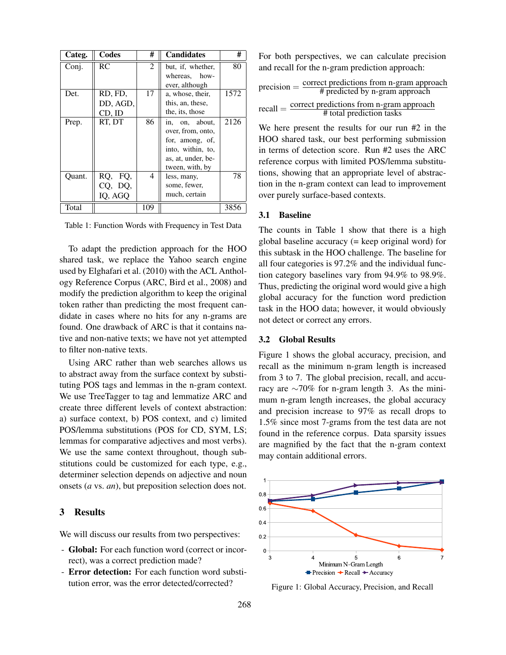| Categ. | Codes      | #   | <b>Candidates</b>  | #    |
|--------|------------|-----|--------------------|------|
| Conj.  | RC         | 2   | but, if, whether,  | 80   |
|        |            |     | whereas, how-      |      |
|        |            |     | ever, although     |      |
| Det.   | RD, FD,    | 17  | a, whose, their,   | 1572 |
|        | DD, AGD,   |     | this, an, these,   |      |
|        | CD, ID     |     | the, its, those    |      |
| Prep.  | RT, DT     | 86  | in, on, about,     | 2126 |
|        |            |     | over, from, onto,  |      |
|        |            |     | for, among, of,    |      |
|        |            |     | into, within, to,  |      |
|        |            |     | as, at, under, be- |      |
|        |            |     | tween, with, by    |      |
| Ouant. | RQ,<br>FQ, | 4   | less, many,        | 78   |
|        | CQ, DQ,    |     | some, fewer,       |      |
|        | IQ, AGQ    |     | much, certain      |      |
| Total  |            | 109 |                    | 3856 |

Table 1: Function Words with Frequency in Test Data

To adapt the prediction approach for the HOO shared task, we replace the Yahoo search engine used by Elghafari et al. (2010) with the ACL Anthology Reference Corpus (ARC, Bird et al., 2008) and modify the prediction algorithm to keep the original token rather than predicting the most frequent candidate in cases where no hits for any n-grams are found. One drawback of ARC is that it contains native and non-native texts; we have not yet attempted to filter non-native texts.

Using ARC rather than web searches allows us to abstract away from the surface context by substituting POS tags and lemmas in the n-gram context. We use TreeTagger to tag and lemmatize ARC and create three different levels of context abstraction: a) surface context, b) POS context, and c) limited POS/lemma substitutions (POS for CD, SYM, LS; lemmas for comparative adjectives and most verbs). We use the same context throughout, though substitutions could be customized for each type, e.g., determiner selection depends on adjective and noun onsets (*a* vs. *an*), but preposition selection does not.

#### 3 Results

We will discuss our results from two perspectives:

- Global: For each function word (correct or incorrect), was a correct prediction made?
- Error detection: For each function word substitution error, was the error detected/corrected?

For both perspectives, we can calculate precision and recall for the n-gram prediction approach:

$$
precision = \frac{correct\,predictions\,from\,n-gram\,approach}{\#\,predicted\,by\,n-gram\,approach}
$$

$$
recall = \frac{correct\,predictions\,from\,n-gram\,approach}{\#\,total\,prediction\,tasks}
$$

We here present the results for our run #2 in the HOO shared task, our best performing submission in terms of detection score. Run #2 uses the ARC reference corpus with limited POS/lemma substitutions, showing that an appropriate level of abstraction in the n-gram context can lead to improvement over purely surface-based contexts.

#### 3.1 Baseline

The counts in Table 1 show that there is a high global baseline accuracy (= keep original word) for this subtask in the HOO challenge. The baseline for all four categories is 97.2% and the individual function category baselines vary from 94.9% to 98.9%. Thus, predicting the original word would give a high global accuracy for the function word prediction task in the HOO data; however, it would obviously not detect or correct any errors.

#### 3.2 Global Results

Figure 1 shows the global accuracy, precision, and recall as the minimum n-gram length is increased from 3 to 7. The global precision, recall, and accuracy are ∼70% for n-gram length 3. As the minimum n-gram length increases, the global accuracy and precision increase to 97% as recall drops to 1.5% since most 7-grams from the test data are not found in the reference corpus. Data sparsity issues are magnified by the fact that the n-gram context may contain additional errors.



Figure 1: Global Accuracy, Precision, and Recall